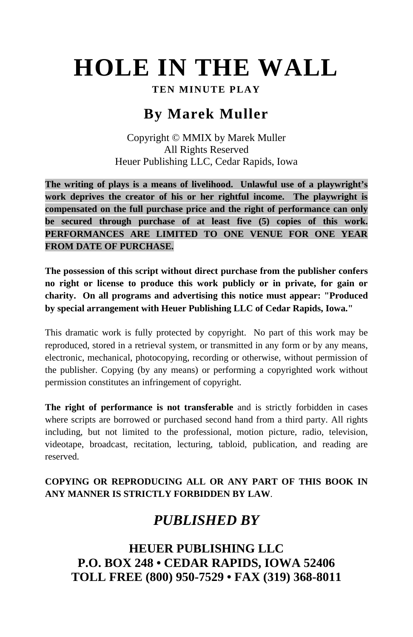# **HOLE IN THE WALL**

#### **TEN MINUTE PLAY**

## **By Marek Muller**

Copyright © MMIX by Marek Muller All Rights Reserved Heuer Publishing LLC, Cedar Rapids, Iowa

**The writing of plays is a means of livelihood. Unlawful use of a playwright's work deprives the creator of his or her rightful income. The playwright is compensated on the full purchase price and the right of performance can only be secured through purchase of at least five (5) copies of this work. PERFORMANCES ARE LIMITED TO ONE VENUE FOR ONE YEAR FROM DATE OF PURCHASE.** 

**The possession of this script without direct purchase from the publisher confers no right or license to produce this work publicly or in private, for gain or charity. On all programs and advertising this notice must appear: "Produced by special arrangement with Heuer Publishing LLC of Cedar Rapids, Iowa."** 

This dramatic work is fully protected by copyright. No part of this work may be reproduced, stored in a retrieval system, or transmitted in any form or by any means, electronic, mechanical, photocopying, recording or otherwise, without permission of the publisher. Copying (by any means) or performing a copyrighted work without permission constitutes an infringement of copyright.

**The right of performance is not transferable** and is strictly forbidden in cases where scripts are borrowed or purchased second hand from a third party. All rights including, but not limited to the professional, motion picture, radio, television, videotape, broadcast, recitation, lecturing, tabloid, publication, and reading are reserved.

## **COPYING OR REPRODUCING ALL OR ANY PART OF THIS BOOK IN ANY MANNER IS STRICTLY FORBIDDEN BY LAW**.

# *PUBLISHED BY*

**HEUER PUBLISHING LLC P.O. BOX 248 • CEDAR RAPIDS, IOWA 52406 TOLL FREE (800) 950-7529 • FAX (319) 368-8011**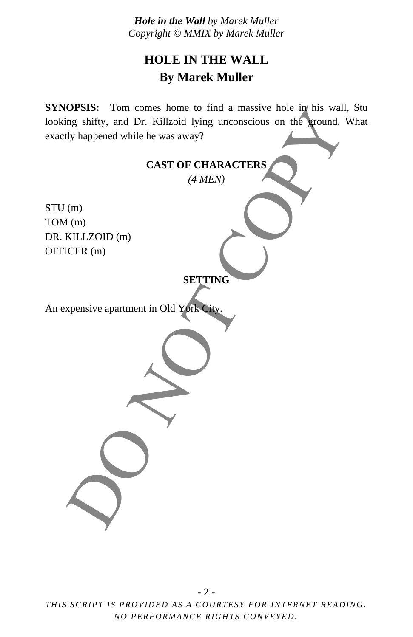## **HOLE IN THE WALL By Marek Muller**

**SYNOPSIS:** Tom comes home to find a massive hole in his wall, Stu looking shifty, and Dr. Killzoid lying unconscious on the ground. What exactly happened while he was away?

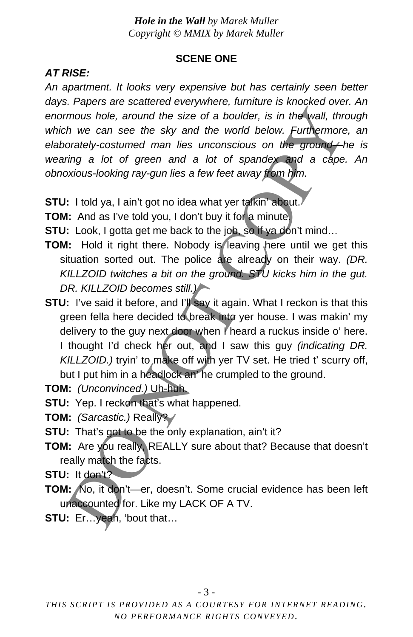#### **SCENE ONE**

### *AT RISE:*

*An apartment. It looks very expensive but has certainly seen better days. Papers are scattered everywhere, furniture is knocked over. An enormous hole, around the size of a boulder, is in the wall, through which we can see the sky and the world below. Furthermore, an elaborately-costumed man lies unconscious on the ground—he is wearing a lot of green and a lot of spandex and a cape. An obnoxious-looking ray-gun lies a few feet away from him.* 

- **STU:** I told ya, I ain't got no idea what yer talkin' about.
- **TOM:** And as I've told you, I don't buy it for a minute.
- **STU:** Look, I gotta get me back to the job, so if ya don't mind...
- **TOM:** Hold it right there. Nobody is leaving here until we get this situation sorted out. The police are already on their way. *(DR. KILLZOID twitches a bit on the ground. STU kicks him in the gut. DR. KILLZOID becomes still.)*
- **STU:** I've said it before, and I'll say it again. What I reckon is that this green fella here decided to break into yer house. I was makin' my delivery to the guy next door when I heard a ruckus inside o' here. I thought I'd check her out, and I saw this guy *(indicating DR. KILLZOID.)* tryin' to make off with yer TV set. He tried t' scurry off, but I put him in a headlock an' he crumpled to the ground. mous hole, around the size of a boulder, is in the wall, thractom and the size of a boulder, is in the wall, thractom we can see the sky and the world below. Furthermore<br>orately-costumed man lies unconscious on the ground
- **TOM:** *(Unconvinced.)* Uh-huh.
- **STU:** Yep. I reckon that's what happened.
- **TOM:** *(Sarcastic.)* Really?
- **STU:** That's got to be the only explanation, ain't it?
- **TOM:** Are you really, REALLY sure about that? Because that doesn't really match the facts.
- **STU:** It don't?
- **TOM:** No, it don't—er, doesn't. Some crucial evidence has been left unaccounted for. Like my LACK OF A TV.
- **STU:** Er…yeah, 'bout that…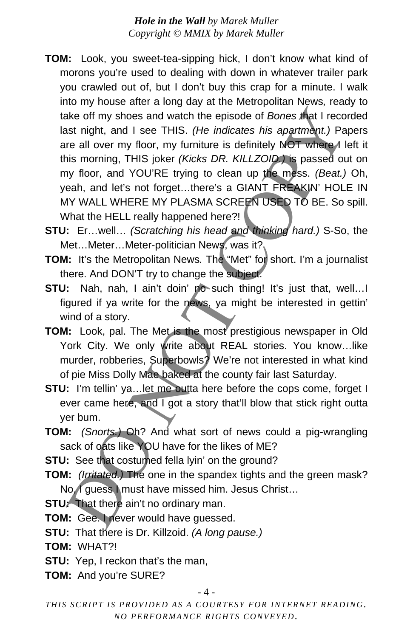- **TOM:** Look, you sweet-tea-sipping hick, I don't know what kind of morons you're used to dealing with down in whatever trailer park you crawled out of, but I don't buy this crap for a minute. I walk into my house after a long day at the Metropolitan News*,* ready to take off my shoes and watch the episode of *Bones* that I recorded last night, and I see THIS. *(He indicates his apartment.)* Papers are all over my floor, my furniture is definitely NOT where *A* left it this morning, THIS joker *(Kicks DR. KILLZOID.)* is passed out on my floor, and YOU'RE trying to clean up the mess. *(Beat.)* Oh, yeah, and let's not forget…there's a GIANT FREAKIN' HOLE IN MY WALL WHERE MY PLASMA SCREEN USED TO BE. So spill. What the HELL really happened here?! ake off my shoes and watch the episode of *Bones* that I recosts right, and I see THIS. (*He indicates his apartment.)* Particles in sometring the real over my floor, my furniture is definitely NOT where *H* is morning, TH
- **STU:** Er…well… *(Scratching his head and thinking hard.)* S-So, the Met...Meter...Meter-politician News, was it?
- **TOM:** It's the Metropolitan News. The "Met" for short. I'm a journalist there. And DON'T try to change the subject.
- **STU:** Nah, nah, I ain't doin' no such thing! It's just that, well... figured if ya write for the news, ya might be interested in gettin' wind of a story.
- **TOM:** Look, pal. The Met is the most prestigious newspaper in Old York City. We only write about REAL stories. You know…like murder, robberies, Superbowls? We're not interested in what kind of pie Miss Dolly Mae baked at the county fair last Saturday.
- **STU:** I'm tellin' ya... let me outta here before the cops come, forget I ever came here, and I got a story that'll blow that stick right outta yer bum.
- **TOM:** *(Snorts.)* Oh? And what sort of news could a pig-wrangling sack of oats like YOU have for the likes of ME?
- **STU:** See that costumed fella lyin' on the ground?
- **TOM:** *(Irritated.)* The one in the spandex tights and the green mask? No, I guess I must have missed him. Jesus Christ...
- **STU:** That there ain't no ordinary man.
- **TOM:** Gee. I never would have guessed.
- **STU:** That there is Dr. Killzoid. *(A long pause.)*
- **TOM:** WHAT?!
- **STU:** Yep, I reckon that's the man,
- **TOM:** And you're SURE?

- 4 -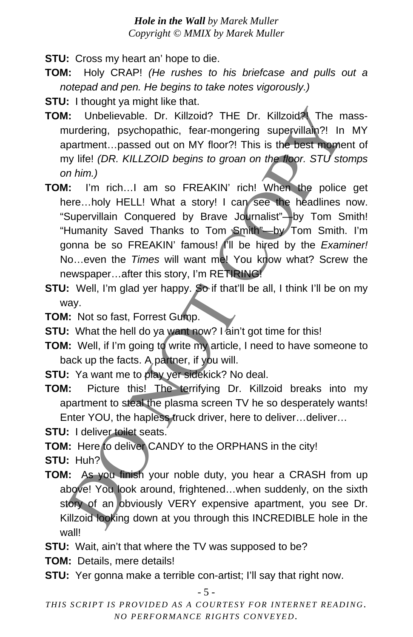**STU:** Cross my heart an' hope to die.

- **TOM:** Holy CRAP! *(He rushes to his briefcase and pulls out a notepad and pen. He begins to take notes vigorously.)*
- **STU:** I thought ya might like that.
- **TOM:** Unbelievable. Dr. Killzoid? THE Dr. Killzoid?! The massmurdering, psychopathic, fear-mongering supervillain?! In MY apartment…passed out on MY floor?! This is the best moment of my life! *(DR. KILLZOID begins to groan on the floor. STU stomps on him.)*
- **TOM:** I'm rich…I am so FREAKIN' rich! When the police get here...holy HELL! What a story! I can see the headlines now. "Supervillain Conquered by Brave Journalist"—by Tom Smith! "Humanity Saved Thanks to Tom Smith"—by Tom Smith. I'm gonna be so FREAKIN' famous! I'll be hired by the *Examiner!* No...even the *Times* will want met You know what? Screw the newspaper…after this story, I'm RETIRING! 1: Unbelievable. Dr. Killzoid? THE Dr. Killzoid? The murdering, psychopathic, fear-mongering supervillan?! In partment...passed out on MY floor?! This is the best mome<br>partment...passed out on MY floor?! This is the best m
- **STU:** Well, I'm glad yer happy. So if that'll be all, I think I'll be on my way.
- **TOM:** Not so fast, Forrest Gump.
- **STU:** What the hell do ya want now? I ain't got time for this!
- **TOM:** Well, if I'm going to write my article, I need to have someone to back up the facts. A partner, if you will.
- **STU:** Ya want me to play yer sidekick? No deal.
- **TOM:** Picture this! The terrifying Dr. Killzoid breaks into my apartment to steal the plasma screen TV he so desperately wants! Enter YOU, the hapless truck driver, here to deliver…deliver…

**STU:** I deliver toilet seats.

**TOM:** Here to deliver CANDY to the ORPHANS in the city!

**STU:** Huh?

- **TOM:** As you finish your noble duty, you hear a CRASH from up above! You look around, frightened…when suddenly, on the sixth story of an obviously VERY expensive apartment, you see Dr. Killzoid looking down at you through this INCREDIBLE hole in the wall!
- **STU:** Wait, ain't that where the TV was supposed to be?
- **TOM:** Details, mere details!
- **STU:** Yer gonna make a terrible con-artist; I'll say that right now.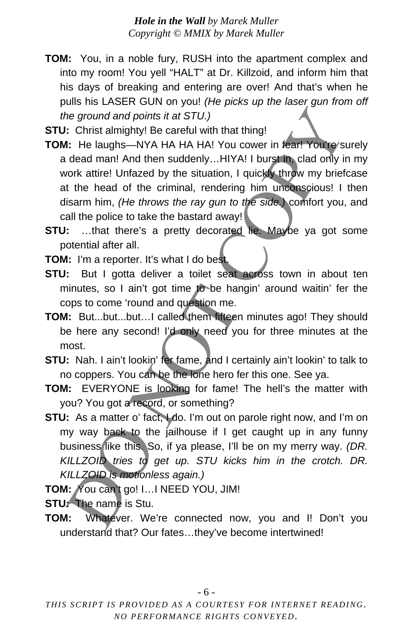**TOM:** You, in a noble fury, RUSH into the apartment complex and into my room! You yell "HALT" at Dr. Killzoid, and inform him that his days of breaking and entering are over! And that's when he pulls his LASER GUN on you! *(He picks up the laser gun from off the ground and points it at STU.)*

**STU:** Christ almighty! Be careful with that thing!

- **TOM:** He laughs—NYA HA HA HA! You cower in fear! You're/surely a dead man! And then suddenly…HIYA! I burst in, clad only in my work attire! Unfazed by the situation, I quickly throw my briefcase at the head of the criminal, rendering him unconscious! I then disarm him, *(He throws the ray gun to the side.)* comfort you, and call the police to take the bastard away! the ground and points it at STU.)<br>
Christ almighty! Be careful with that thing!<br>
Christ almighty! Be careful with that thing!<br>
Christ almighty! Be careful with that thing!<br>
dead man! And then suddenly...HIYA! I burst in cl
- **STU:** ...that there's a pretty decorated lie. Maybe ya got some potential after all.

**TOM:** I'm a reporter. It's what I do best.

- **STU:** But I gotta deliver a toilet seat across town in about ten minutes, so I ain't got time to be hangin' around waitin' fer the cops to come 'round and question me.
- **TOM:** But...but...but…I called them fifteen minutes ago! They should be here any second! I'd only need you for three minutes at the most.
- **STU:** Nah. I ain't lookin' fer fame, and I certainly ain't lookin' to talk to no coppers. You can be the lone hero fer this one. See ya.
- **TOM:** EVERYONE is looking for fame! The hell's the matter with you? You got a record, or something?
- **STU:** As a matter o' fact, I do. I'm out on parole right now, and I'm on my way back to the jailhouse if I get caught up in any funny business like this. So, if ya please, I'll be on my merry way. *(DR. KILLZOID tries to get up. STU kicks him in the crotch. DR. KILLZOID is motionless again.)*
- **TOM:** You can't go! I…I NEED YOU, JIM!
- **STU:** The name is Stu.
- **TOM:** Whatever. We're connected now, you and I! Don't you understand that? Our fates…they've become intertwined!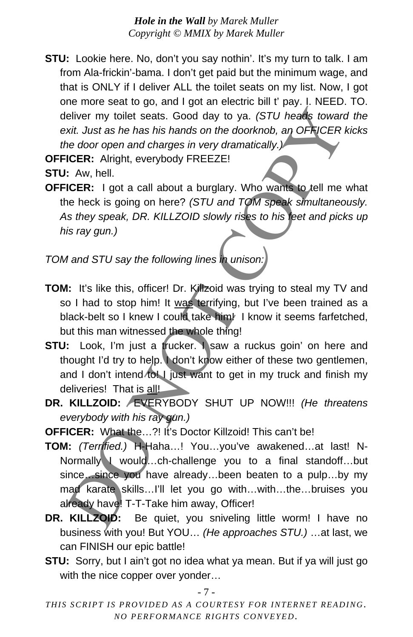**STU:** Lookie here. No, don't you say nothin'. It's my turn to talk. I am from Ala-frickin'-bama. I don't get paid but the minimum wage, and that is ONLY if I deliver ALL the toilet seats on my list. Now, I got one more seat to go, and I got an electric bill t' pay. I. NEED. TO. deliver my toilet seats. Good day to ya. *(STU heads toward the exit. Just as he has his hands on the doorknob, an OFFICER kicks the door open and charges in very dramatically.)*

**OFFICER:** Alright, everybody FREEZE!

**STU:** Aw, hell.

**OFFICER:** I got a call about a burglary. Who wants to tell me what the heck is going on here? *(STU and TOM speak simultaneously. As they speak, DR. KILLZOID slowly rises to his feet and picks up his ray gun.)* 

*TOM and STU say the following lines in unison:* 

- **TOM:** It's like this, officer! Dr. Killzoid was trying to steal my TV and so I had to stop him! It was terrifying, but I've been trained as a black-belt so I knew I could take him! I know it seems farfetched, but this man witnessed the whole thing!
- **STU:** Look, I'm just a trucker. I saw a ruckus goin' on here and thought I'd try to help. I don't know either of these two gentlemen, and I don't intend to! I just want to get in my truck and finish my deliveries! That is all!
- **DR. KILLZOID:** EVERYBODY SHUT UP NOW!!! *(He threatens everybody with his ray gun.)*
- **OFFICER:** What the...?! It's Doctor Killzoid! This can't be!
- **TOM:** *(Terrified.)* H-Haha…! You…you've awakened…at last! N-Normally I would…ch-challenge you to a final standoff…but since...since you have already...been beaten to a pulp...by my mad karate skills…I'll let you go with…with…the…bruises you already have! T-T-Take him away, Officer! eliver my toilet seats. Good day to ya. (STU heads toward wit Just as he has his hands on the doorknob, an OFFICER with as he has his hands on the doorknob, an OFFICER CRIC Altight, everybody FREEZE!<br>
LCER: Altight, everyb
- **DR. KILLZOID:** Be quiet, you sniveling little worm! I have no business with you! But YOU… *(He approaches STU.)* …at last, we can FINISH our epic battle!
- **STU:** Sorry, but I ain't got no idea what ya mean. But if ya will just go with the nice copper over yonder…

- 7 -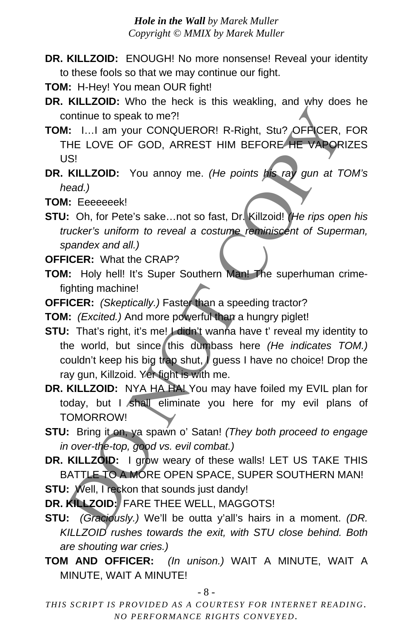- **DR. KILLZOID:** ENOUGH! No more nonsense! Reveal your identity to these fools so that we may continue our fight.
- **TOM:** H-Hey! You mean OUR fight!
- **DR. KILLZOID:** Who the heck is this weakling, and why does he continue to speak to me?!
- TOM: I...I am your CONQUEROR! R-Right, Stu? OFFICER, FOR THE LOVE OF GOD, ARREST HIM BEFORE HE VAPORIZES US!
- **DR. KILLZOID:** You annoy me. *(He points his ray gun at TOM's head.)*
- **TOM:** Eeeeeeek!
- **STU:** Oh, for Pete's sake…not so fast, Dr. Killzoid! *(He rips open his trucker's uniform to reveal a costume reminiscent of Superman, spandex and all.)*
- **OFFICER:** What the CRAP?
- **TOM:** Holy hell! It's Super Southern Man! The superhuman crimefighting machine!
- **OFFICER:** *(Skeptically.)* Faster than a speeding tractor?
- **TOM:** *(Excited.)* And more powerful than a hungry piglet!
- **STU:** That's right, it's me! I didn't wanna have t' reveal my identity to the world, but since this dumbass here *(He indicates TOM.)*  couldn't keep his big trap shut, I guess I have no choice! Drop the ray gun, Killzoid. Yer fight is with me. ontinue to speak to me?!<br>
I: I...I am your CONQUEROR! R-Right, Stu? OFFICER, IHE LOVE OF GOD, ARREST HIM BEFORE HE VAPOR!<br>
IS!<br>
IS!<br>
IS!<br>
IS!<br>
IS!<br>
IS!<br>
INILLZOID: You annoy me. (He points the ray gun at TC<br>
col, to Prete'
- DR. KILLZOID: NYA HA HA! You may have foiled my EVIL plan for today, but I shall eliminate you here for my evil plans of TOMORROW!
- **STU:** Bring it on, ya spawn o' Satan! *(They both proceed to engage in over-the-top, good vs. evil combat.)*
- **DR. KILLZOID:** I grow weary of these walls! LET US TAKE THIS BATTLE TO A MORE OPEN SPACE, SUPER SOUTHERN MAN!

**STU:** Well, I reckon that sounds just dandy!

**DR. KILLZOID:** FARE THEE WELL, MAGGOTS!

- **STU:** *(Graciously.)* We'll be outta y'all's hairs in a moment. *(DR. KILLZOID rushes towards the exit, with STU close behind. Both are shouting war cries.)*
- **TOM AND OFFICER:** *(In unison.)* WAIT A MINUTE, WAIT A MINUTE, WAIT A MINUTE!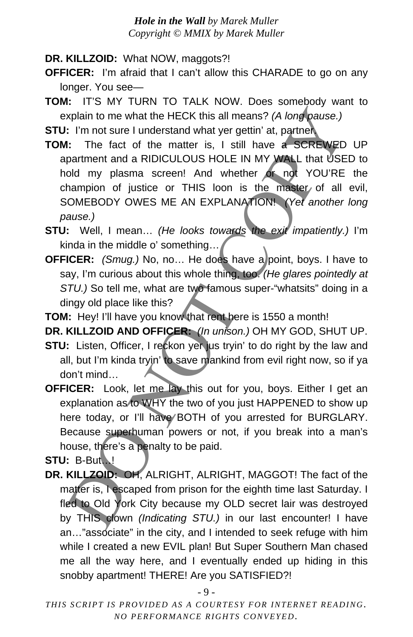**DR. KILLZOID:** What NOW, maggots?!

- **OFFICER:** I'm afraid that I can't allow this CHARADE to go on any longer. You see—
- **TOM:** IT'S MY TURN TO TALK NOW. Does somebody want to explain to me what the HECK this all means? *(A long pause.)*

**STU:** I'm not sure I understand what yer gettin' at, partner.

- **TOM:** The fact of the matter is, I still have a SCREWED UP apartment and a RIDICULOUS HOLE IN MY WALL that USED to hold my plasma screen! And whether or not YOU'RE the champion of justice or THIS loon is the master of all evil, SOMEBODY OWES ME AN EXPLANATION! *(Yet another long pause.)* xplain to me what the HECK this all means? (A long pause.)<br>
1: I'm not sure I understand what yer gettin' at, partner.<br>
1: The fact of the matter is, I still have a SCREWED<br>
partment and RIDICULOUS HOLE IN MY WALL that USE
- **STU:** Well, I mean… *(He looks towards the exit impatiently.)* I'm kinda in the middle o' something...
- **OFFICER:** *(Smug.)* No, no... He does have a point, boys. I have to say, I'm curious about this whole thing, too. *(He glares pointedly at*  STU.) So tell me, what are two famous super-"whatsits" doing in a dingy old place like this?

**TOM:** Hey! I'll have you know that rent here is 1550 a month!

**DR. KILLZOID AND OFFICER:** *(In unison.)* OH MY GOD, SHUT UP.

- **STU:** Listen, Officer, I reckon yer jus tryin' to do right by the law and all, but I'm kinda tryin' to save mankind from evil right now, so if ya don't mind…
- **OFFICER:** Look, let me lay this out for you, boys. Either I get an explanation as to WHY the two of you just HAPPENED to show up here today, or I'll have BOTH of you arrested for BURGLARY. Because superhuman powers or not, if you break into a man's house, there's a penalty to be paid.

**STU:** B-But…!

**DR. KILLZOID:** OH, ALRIGHT, ALRIGHT, MAGGOT! The fact of the matter is, I escaped from prison for the eighth time last Saturday. I fled to Old York City because my OLD secret lair was destroyed by THIS clown *(Indicating STU.)* in our last encounter! I have an…"associate" in the city, and I intended to seek refuge with him while I created a new EVIL plan! But Super Southern Man chased me all the way here, and I eventually ended up hiding in this snobby apartment! THERE! Are you SATISFIED?!

- 9 -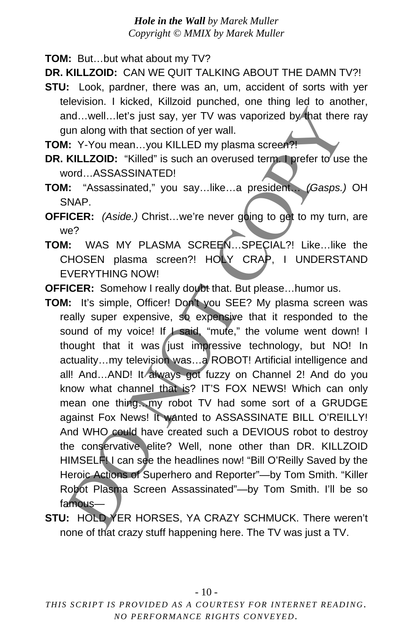**TOM:** But…but what about my TV?

**DR. KILLZOID:** CAN WE QUIT TALKING ABOUT THE DAMN TV?!

- **STU:** Look, pardner, there was an, um, accident of sorts with yer television. I kicked, Killzoid punched, one thing led to another, and…well…let's just say, yer TV was vaporized by that there ray gun along with that section of yer wall.
- **TOM:** Y-You mean…you KILLED my plasma screen?!
- **DR. KILLZOID:** "Killed" is such an overused term. I prefer to use the word…ASSASSINATED!
- **TOM:** "Assassinated," you say…like…a president… *(Gasps.)* OH SNAP.
- **OFFICER:** *(Aside.)* Christ…we're never going to get to my turn, are we?
- **TOM:** WAS MY PLASMA SCREEN…SPECIAL?! Like…like the CHOSEN plasma screen?! HOLY CRAP, I UNDERSTAND EVERYTHING NOW!

**OFFICER:** Somehow I really doubt that. But please…humor us.

- **TOM:** It's simple, Officer! Don't you SEE? My plasma screen was really super expensive, so expensive that it responded to the sound of my voice! If I said, "mute," the volume went down! I thought that it was just impressive technology, but NO! In actuality…my television was…a ROBOT! Artificial intelligence and all! And...AND! It always got fuzzy on Channel 2! And do you know what channel that is? IT'S FOX NEWS! Which can only mean one thing…my robot TV had some sort of a GRUDGE against Fox News! It wanted to ASSASSINATE BILL O'REILLY! And WHO could have created such a DEVIOUS robot to destroy the conservative elite? Well, none other than DR. KILLZOID HIMSELFI I can see the headlines now! "Bill O'Reilly Saved by the Heroic Actions of Superhero and Reporter"—by Tom Smith. "Killer Robot Plasma Screen Assassinated"—by Tom Smith. I'll be so famous nd...well...let's just say, yer TV was vaporized by that there<br>
it Y-You mean...you KILLED my plasma screen?<br>
It Y-You mean...you KILLED my plasma screen?<br>
KILLZOID: "KilleD is such an overused term Terefer to use<br>
ICER: (
- **STU:** HOLD YER HORSES, YA CRAZY SCHMUCK. There weren't none of that crazy stuff happening here. The TV was just a TV.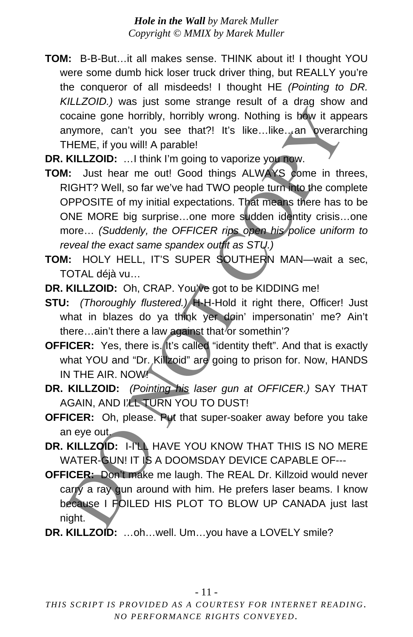- **TOM:** B-B-But…it all makes sense. THINK about it! I thought YOU were some dumb hick loser truck driver thing, but REALLY you're the conqueror of all misdeeds! I thought HE *(Pointing to DR. KILLZOID.)* was just some strange result of a drag show and cocaine gone horribly, horribly wrong. Nothing is how it appears anymore, can't you see that?! It's like...like...an overarching THEME, if you will! A parable!
- **DR. KILLZOID:** …I think I'm going to vaporize you now.
- **TOM:** Just hear me out! Good things ALWAYS come in threes, RIGHT? Well, so far we've had TWO people turn into the complete OPPOSITE of my initial expectations. That means there has to be ONE MORE big surprise…one more sudden identity crisis…one more… *(Suddenly, the OFFICER rips open his police uniform to reveal the exact same spandex outfit as STU.)* ocaine gone horribly, horribly wrong. Nothing is bow it approved examples to the the set that is a set that is a set that is a set that is a set that is a set of the set of the set of the set of the set of the set of the s
- **TOM:** HOLY HELL, IT'S SUPER SOUTHERN MAN—wait a sec, TOTAL déjà vu…
- **DR. KILLZOID:** Oh, CRAP. You've got to be KIDDING me!
- **STU:** *(Thoroughly flustered.)* H-H-Hold it right there, Officer! Just what in blazes do ya think yer doin' impersonatin' me? Ain't there...ain't there a law against that or somethin'?
- **OFFICER:** Yes, there is. It's called "identity theft". And that is exactly what YOU and "Dr. Killzoid" are going to prison for. Now, HANDS IN THE AIR. NOW!
- **DR. KILLZOID:** *(Pointing his laser gun at OFFICER.)* SAY THAT AGAIN, AND I'LL TURN YOU TO DUST!
- **OFFICER:** Oh, please. Put that super-soaker away before you take an eye out.
- **DR. KILLZOID:** I-I'LL HAVE YOU KNOW THAT THIS IS NO MERE WATER-GUN! IT IS A DOOMSDAY DEVICE CAPABLE OF---
- **OFFICER:** Don't make me laugh. The REAL Dr. Killzoid would never carry a ray gun around with him. He prefers laser beams. I know because I FOILED HIS PLOT TO BLOW UP CANADA just last night.
- **DR. KILLZOID:** …oh…well. Um…you have a LOVELY smile?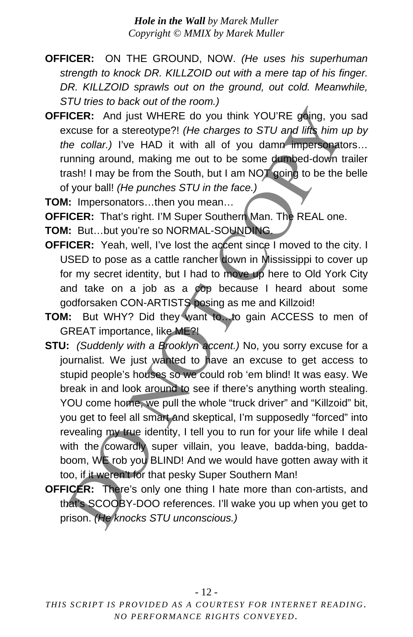- **OFFICER:** ON THE GROUND, NOW. *(He uses his superhuman strength to knock DR. KILLZOID out with a mere tap of his finger. DR. KILLZOID sprawls out on the ground, out cold. Meanwhile, STU tries to back out of the room.)*
- **OFFICER:** And just WHERE do you think YOU'RE going, you sad excuse for a stereotype?! *(He charges to STU and lifts him up by the collar.)* I've HAD it with all of you damn impersonators… running around, making me out to be some dumbed-down trailer trash! I may be from the South, but I am NOT going to be the belle of your ball! *(He punches STU in the face.)*
- **TOM:** Impersonators…then you mean…
- **OFFICER:** That's right. I'M Super Southern Man. The REAL one.
- **TOM:** But…but you're so NORMAL-SOUNDING.
- **OFFICER:** Yeah, well, I've lost the accent since I moved to the city. I USED to pose as a cattle rancher down in Mississippi to cover up for my secret identity, but I had to move up here to Old York City and take on a job as a cop because I heard about some godforsaken CON-ARTISTS posing as me and Killzoid!
- **TOM:** But WHY? Did they want to…to gain ACCESS to men of GREAT importance, like ME?!
- **STU:** *(Suddenly with a Brooklyn accent.)* No, you sorry excuse for a journalist. We just wanted to have an excuse to get access to stupid people's houses so we could rob 'em blind! It was easy. We break in and look around to see if there's anything worth stealing. YOU come home, we pull the whole "truck driver" and "Killzoid" bit, you get to feel all smart and skeptical, I'm supposedly "forced" into revealing my true identity, I tell you to run for your life while I deal with the cowardly super villain, you leave, badda-bing, baddaboom, WE rob you BLIND! And we would have gotten away with it too, if it weren't for that pesky Super Southern Man! ICER: And just WHERE do you think YOU'RE going, you<br>scuse for a stereotype?! (*He charges to STU and lifts him u*<br>excuse for a stereotype?! (*He charges to STU and lifts him u*<br>excuse for a stereotype?! (*He charges to STU*
- **OFFICER:** There's only one thing I hate more than con-artists, and that's SCOOBY-DOO references. I'll wake you up when you get to prison. *(He knocks STU unconscious.)*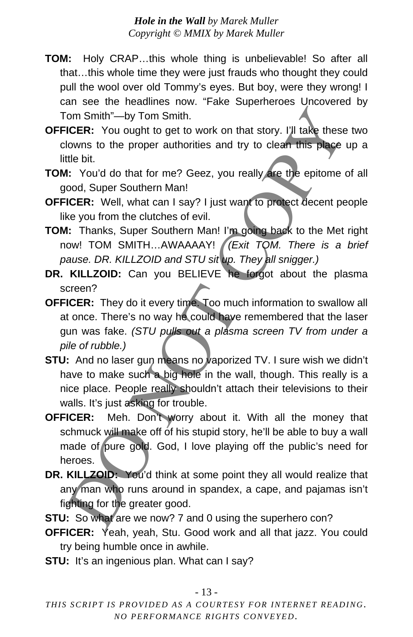- **TOM:** Holy CRAP…this whole thing is unbelievable! So after all that…this whole time they were just frauds who thought they could pull the wool over old Tommy's eyes. But boy, were they wrong! I can see the headlines now. "Fake Superheroes Uncovered by Tom Smith"—by Tom Smith.
- **OFFICER:** You ought to get to work on that story. I'll take these two clowns to the proper authorities and try to clean this place up a little bit.
- **TOM:** You'd do that for me? Geez, you really are the epitome of all good, Super Southern Man!
- **OFFICER:** Well, what can I say? I just want to protect decent people like you from the clutches of evil.
- **TOM:** Thanks, Super Southern Man! I'm going back to the Met right now! TOM SMITH…AWAAAAY! *(Exit TOM. There is a brief pause. DR. KILLZOID and STU sit up. They all snigger.)*
- **DR. KILLZOID:** Can you BELIEVE he forgot about the plasma screen?
- **OFFICER:** They do it every time. Too much information to swallow all at once. There's no way he could have remembered that the laser gun was fake. *(STU pulls out a plasma screen TV from under a pile of rubble.)*
- **STU:** And no laser gun means no vaporized TV. I sure wish we didn't have to make such a big hole in the wall, though. This really is a nice place. People really shouldn't attach their televisions to their walls. It's just asking for trouble.
- **OFFICER:** Meh. Don't worry about it. With all the money that schmuck will make off of his stupid story, he'll be able to buy a wall made of pure gold. God, I love playing off the public's need for heroes. om Smith"—by Tom Smith.<br>
ICER: You ought to get to work on that story. I'll take these<br>
towns to the proper authorities and try to clean this place<br>
tile bit.<br>
It Nou'd do that for me? Geez, you really are the epitome ood,
- DR. KILLZOID: You'd think at some point they all would realize that any man who runs around in spandex, a cape, and pajamas isn't fighting for the greater good.
- **STU:** So what are we now? 7 and 0 using the superhero con?
- **OFFICER:** Yeah, yeah, Stu. Good work and all that jazz. You could try being humble once in awhile.
- **STU:** It's an ingenious plan. What can I say?